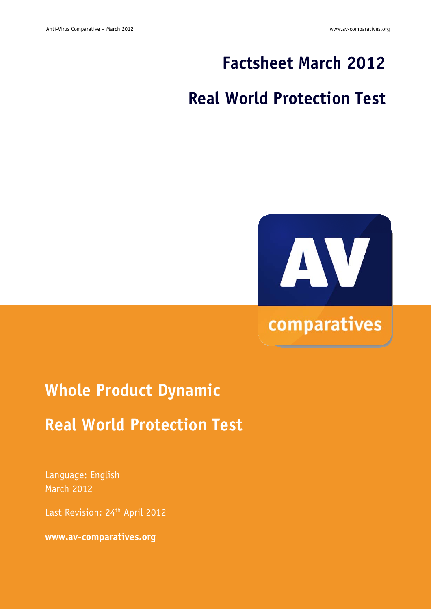## **Factsheet March 2012**

## **Real World Protection Test**



# **Whole Product Dynamic**

### **Real World Protection Test**

Language: English March 2012

Last Revision: 24<sup>th</sup> April 2012

**www.av-comparatives.org**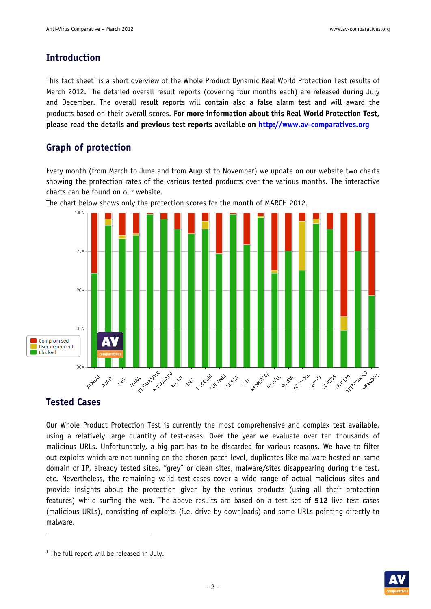#### **Introduction**

This fact sheet<sup>1</sup> is a short overview of the Whole Product Dynamic Real World Protection Test results of March 2012. The detailed overall result reports (covering four months each) are released during July and December. The overall result reports will contain also a false alarm test and will award the products based on their overall scores. **For more information about this Real World Protection Test, please read the details and previous test reports available on http://www.av-comparatives.org**

#### **Graph of protection**

Every month (from March to June and from August to November) we update on our website two charts showing the protection rates of the various tested products over the various months. The interactive charts can be found on our website.



The chart below shows only the protection scores for the month of MARCH 2012.

#### **Tested Cases**

-

Our Whole Product Protection Test is currently the most comprehensive and complex test available, using a relatively large quantity of test-cases. Over the year we evaluate over ten thousands of malicious URLs. Unfortunately, a big part has to be discarded for various reasons. We have to filter out exploits which are not running on the chosen patch level, duplicates like malware hosted on same domain or IP, already tested sites, "grey" or clean sites, malware/sites disappearing during the test, etc. Nevertheless, the remaining valid test-cases cover a wide range of actual malicious sites and provide insights about the protection given by the various products (using all their protection features) while surfing the web. The above results are based on a test set of **512** live test cases (malicious URLs), consisting of exploits (i.e. drive-by downloads) and some URLs pointing directly to malware.

![](_page_1_Picture_11.jpeg)

<sup>&</sup>lt;sup>1</sup> The full report will be released in July.